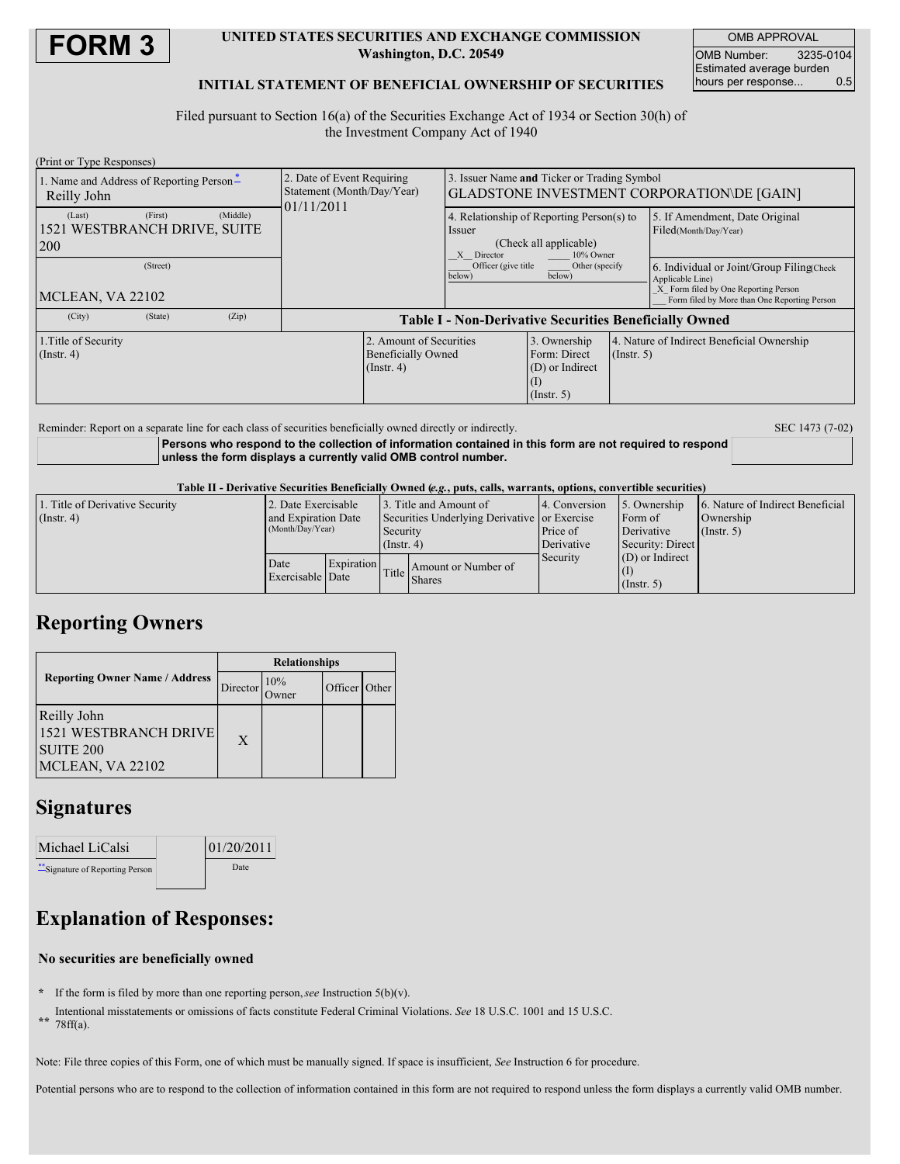

#### **UNITED STATES SECURITIES AND EXCHANGE COMMISSION Washington, D.C. 20549**

OMB APPROVAL OMB Number: 3235-0104 Estimated average burden hours per response... 0.5

### **INITIAL STATEMENT OF BENEFICIAL OWNERSHIP OF SECURITIES**

Filed pursuant to Section 16(a) of the Securities Exchange Act of 1934 or Section 30(h) of the Investment Company Act of 1940

| (Print or Type Responses)                                            |                                                                          |                                                                                                             |                                                                     |                  |                                                                                                                                                        |  |
|----------------------------------------------------------------------|--------------------------------------------------------------------------|-------------------------------------------------------------------------------------------------------------|---------------------------------------------------------------------|------------------|--------------------------------------------------------------------------------------------------------------------------------------------------------|--|
| 1. Name and Address of Reporting Person-<br>Reilly John              | 2. Date of Event Requiring<br>Statement (Month/Day/Year)<br>01/11/2011   | 3. Issuer Name and Ticker or Trading Symbol<br>GLADSTONE INVESTMENT CORPORATION\DE [GAIN]                   |                                                                     |                  |                                                                                                                                                        |  |
| (First)<br>(Middle)<br>(Last)<br>1521 WESTBRANCH DRIVE, SUITE<br>200 |                                                                          | 4. Relationship of Reporting Person(s) to<br>Issuer<br>(Check all applicable)<br>10% Owner<br>Director<br>X |                                                                     |                  | 5. If Amendment, Date Original<br>Filed(Month/Day/Year)                                                                                                |  |
| (Street)<br>MCLEAN, VA 22102                                         |                                                                          | Officer (give title)<br>Other (specify<br>below)<br>below)                                                  |                                                                     |                  | 6. Individual or Joint/Group Filing(Check)<br>Applicable Line)<br>X Form filed by One Reporting Person<br>Form filed by More than One Reporting Person |  |
| (City)<br>(Zip)<br>(State)                                           | <b>Table I - Non-Derivative Securities Beneficially Owned</b>            |                                                                                                             |                                                                     |                  |                                                                                                                                                        |  |
| 1. Title of Security<br>$($ Instr. 4 $)$                             | 2. Amount of Securities<br><b>Beneficially Owned</b><br>$($ Instr. 4 $)$ |                                                                                                             | 3. Ownership<br>Form: Direct<br>(D) or Indirect<br>$($ Instr. 5 $)$ | $($ Instr. 5 $)$ | 4. Nature of Indirect Beneficial Ownership                                                                                                             |  |

Reminder: Report on a separate line for each class of securities beneficially owned directly or indirectly. SEC 1473 (7-02)

**Persons who respond to the collection of information contained in this form are not required to respond unless the form displays a currently valid OMB control number.**

Table II - Derivative Securities Beneficially Owned (e.g., puts, calls, warrants, options, convertible securities)

| 1. Title of Derivative Security | 2. Date Exercisable                     |            |                                                          | 13. Title and Amount of | 4. Conversion | 5. Ownership      | 6. Nature of Indirect Beneficial |  |
|---------------------------------|-----------------------------------------|------------|----------------------------------------------------------|-------------------------|---------------|-------------------|----------------------------------|--|
| $($ Instr. 4 $)$                | and Expiration Date<br>(Month/Day/Year) |            | Securities Underlying Derivative or Exercise<br>Security |                         | Form of       |                   | Ownership                        |  |
|                                 |                                         |            |                                                          |                         | Price of      | Derivative        | $($ Instr. 5 $)$                 |  |
|                                 |                                         |            | $($ Instr. 4)                                            |                         | Derivative    | Security: Direct  |                                  |  |
|                                 | Date                                    | Expiration |                                                          |                         | Security      | $(D)$ or Indirect |                                  |  |
|                                 | Exercisable Date                        |            | Title                                                    | Amount or Number of     |               |                   |                                  |  |
|                                 |                                         |            | <b>Shares</b>                                            |                         | (Insert, 5)   |                   |                                  |  |

## **Reporting Owners**

|                                                                              | <b>Relationships</b> |                     |         |       |  |
|------------------------------------------------------------------------------|----------------------|---------------------|---------|-------|--|
| <b>Reporting Owner Name / Address</b>                                        | Director             | 10%<br><b>Jwner</b> | Officer | Other |  |
| Reilly John<br>1521 WESTBRANCH DRIVE<br><b>SUITE 200</b><br>MCLEAN, VA 22102 | X                    |                     |         |       |  |

### **Signatures**

| Michael LiCalsi                  | 01/20/2011 |  |
|----------------------------------|------------|--|
| ** Signature of Reporting Person | Date       |  |

# **Explanation of Responses:**

### **No securities are beneficially owned**

- **\*** If the form is filed by more than one reporting person,*see* Instruction 5(b)(v).
- **\*\*** Intentional misstatements or omissions of facts constitute Federal Criminal Violations. *See* 18 U.S.C. 1001 and 15 U.S.C. 78ff(a).
- 

Note: File three copies of this Form, one of which must be manually signed. If space is insufficient, *See* Instruction 6 for procedure.

Potential persons who are to respond to the collection of information contained in this form are not required to respond unless the form displays a currently valid OMB number.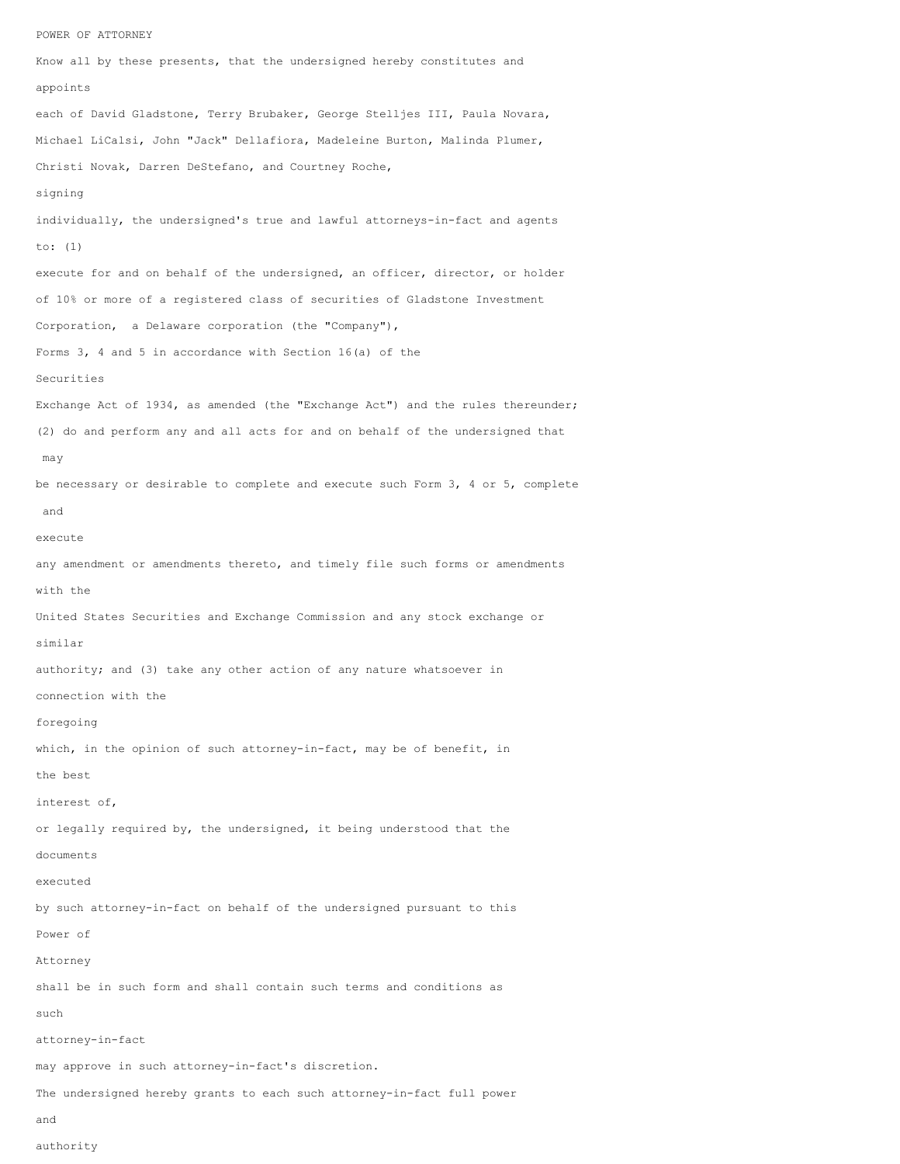POWER OF ATTORNEY Know all by these presents, that the undersigned hereby constitutes and appoints each of David Gladstone, Terry Brubaker, George Stelljes III, Paula Novara, Michael LiCalsi, John "Jack" Dellafiora, Madeleine Burton, Malinda Plumer, Christi Novak, Darren DeStefano, and Courtney Roche, signing individually, the undersigned's true and lawful attorneys-in-fact and agents to: (1) execute for and on behalf of the undersigned, an officer, director, or holder of 10% or more of a registered class of securities of Gladstone Investment Corporation, a Delaware corporation (the "Company"), Forms 3, 4 and 5 in accordance with Section 16(a) of the Securities Exchange Act of 1934, as amended (the "Exchange Act") and the rules thereunder; (2) do and perform any and all acts for and on behalf of the undersigned that may be necessary or desirable to complete and execute such Form 3, 4 or 5, complete and execute any amendment or amendments thereto, and timely file such forms or amendments with the United States Securities and Exchange Commission and any stock exchange or similar authority; and (3) take any other action of any nature whatsoever in connection with the foregoing which, in the opinion of such attorney-in-fact, may be of benefit, in the best interest of, or legally required by, the undersigned, it being understood that the documents executed by such attorney-in-fact on behalf of the undersigned pursuant to this Power of Attorney shall be in such form and shall contain such terms and conditions as such attorney-in-fact may approve in such attorney-in-fact's discretion. The undersigned hereby grants to each such attorney-in-fact full power and

authority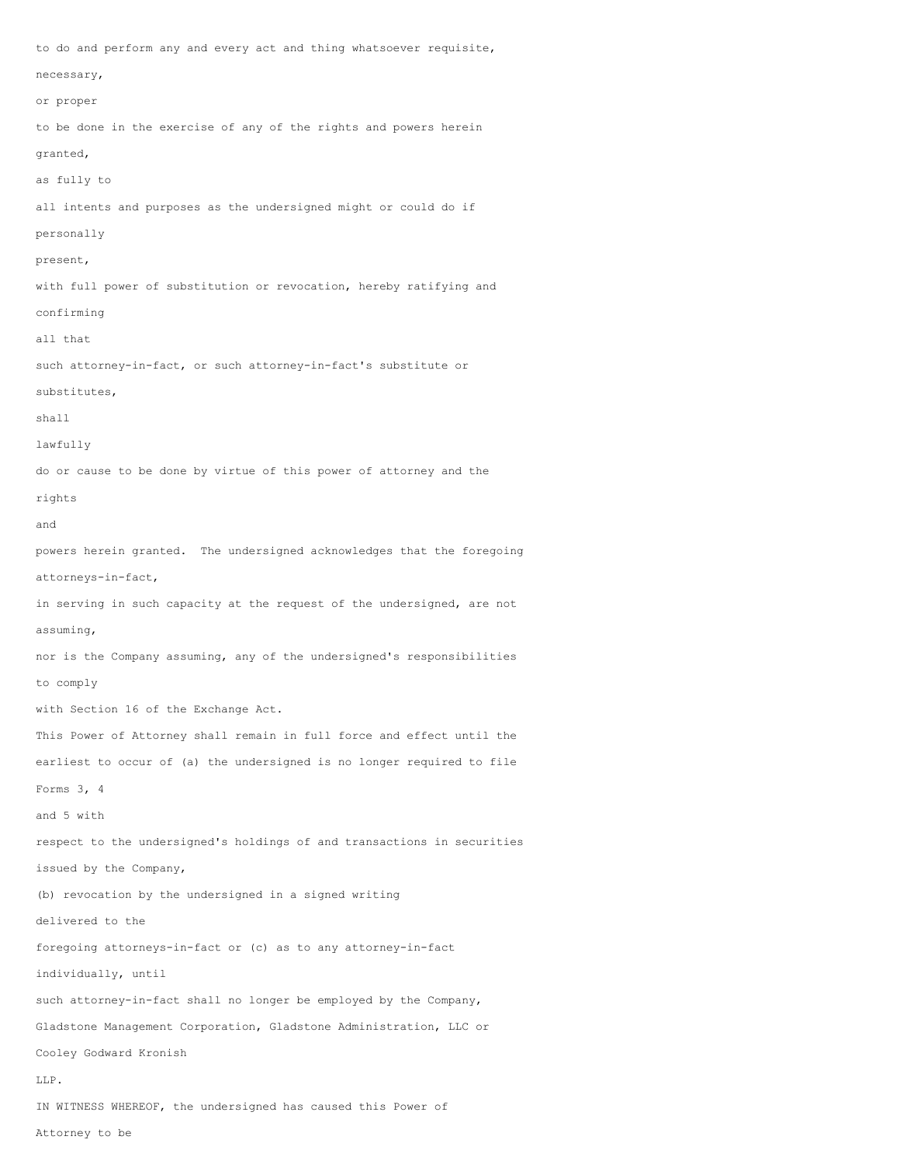to do and perform any and every act and thing whatsoever requisite, necessary, or proper to be done in the exercise of any of the rights and powers herein granted, as fully to all intents and purposes as the undersigned might or could do if personally present, with full power of substitution or revocation, hereby ratifying and confirming all that such attorney-in-fact, or such attorney-in-fact's substitute or substitutes, shall lawfully do or cause to be done by virtue of this power of attorney and the rights and powers herein granted. The undersigned acknowledges that the foregoing attorneys-in-fact, in serving in such capacity at the request of the undersigned, are not assuming, nor is the Company assuming, any of the undersigned's responsibilities to comply with Section 16 of the Exchange Act. This Power of Attorney shall remain in full force and effect until the earliest to occur of (a) the undersigned is no longer required to file Forms 3, 4 and 5 with respect to the undersigned's holdings of and transactions in securities issued by the Company, (b) revocation by the undersigned in a signed writing delivered to the foregoing attorneys-in-fact or (c) as to any attorney-in-fact individually, until such attorney-in-fact shall no longer be employed by the Company, Gladstone Management Corporation, Gladstone Administration, LLC or Cooley Godward Kronish LLP. IN WITNESS WHEREOF, the undersigned has caused this Power of

Attorney to be